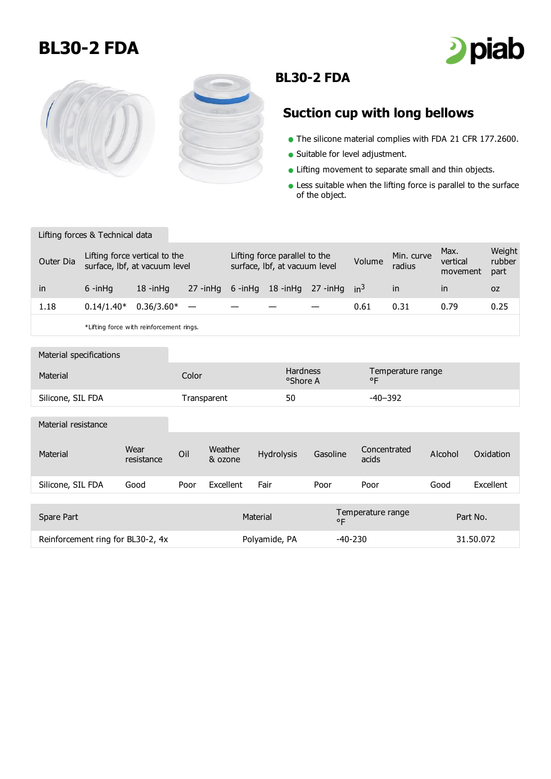## **BL30-2 FDA**







## **BL30-2 FDA**

## **Suction cup with long bellows**

- The silicone material complies with FDA 21 CFR 177.2600.
- Suitable for level adjustment.
- **.** Lifting movement to separate small and thin objects.
- **Less suitable when the lifting force is parallel to the surface** of the object.

## Lifting forces & Technical data

| Outer Dia | Lifting force vertical to the<br>surface, Ibf, at vacuum level |                                          |              | Lifting force parallel to the<br>surface, Ibf, at vacuum level |  |                          | Volume | Min. curve<br>radius | Max.<br>vertical<br>movement | Weight<br>rubber<br>part |
|-----------|----------------------------------------------------------------|------------------------------------------|--------------|----------------------------------------------------------------|--|--------------------------|--------|----------------------|------------------------------|--------------------------|
| in        | $6 - in$ Ha                                                    | $18 - in$ Ha                             | $27 - in$ Hq | 6 -inHq                                                        |  | 18 -inHq 27 -inHq $in^3$ |        | <sub>in</sub>        | <i>in</i>                    | 0Z                       |
| 1.18      | $0.14/1.40*$                                                   | $0.36/3.60*$                             |              |                                                                |  |                          | 0.61   | 0.31                 | 0.79                         | 0.25                     |
|           |                                                                | *I ifting force with reinforcement rings |              |                                                                |  |                          |        |                      |                              |                          |

\*Lifting force with reinforcement rings.

| Material specifications           |                    |             |                    |                             |           |                                   |           |           |  |
|-----------------------------------|--------------------|-------------|--------------------|-----------------------------|-----------|-----------------------------------|-----------|-----------|--|
| Material                          |                    | Color       |                    | <b>Hardness</b><br>°Shore A |           | Temperature range<br>$^{\circ}$ F |           |           |  |
| Silicone, SIL FDA                 |                    | Transparent |                    | 50                          |           | $-40-392$                         |           |           |  |
| Material resistance               |                    |             |                    |                             |           |                                   |           |           |  |
| Material                          | Wear<br>resistance | Oil         | Weather<br>& ozone | Hydrolysis                  | Gasoline  | Concentrated<br>acids             | Alcohol   | Oxidation |  |
| Silicone, SIL FDA                 | Good               | Poor        | Excellent          | Fair                        | Poor      | Poor                              | Good      | Excellent |  |
|                                   |                    |             |                    |                             |           |                                   |           |           |  |
| Spare Part                        |                    |             |                    | Material<br>$^{\circ}$ F    |           | Temperature range                 |           | Part No.  |  |
| Reinforcement ring for BL30-2, 4x |                    |             |                    | Polyamide, PA               | $-40-230$ |                                   | 31.50.072 |           |  |